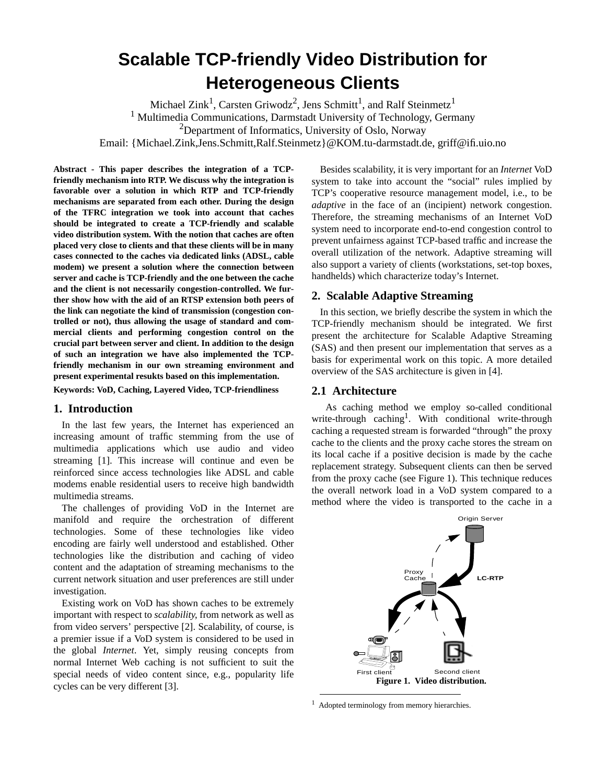# <span id="page-0-0"></span>**Scalable TCP-friendly Video Distribution for Heterogeneous Clients**

Michael Zink<sup>1</sup>, Carsten Griwodz<sup>2</sup>, Jens Schmitt<sup>1</sup>, and Ralf Steinmetz<sup>1</sup> <sup>1</sup> Multimedia Communications, Darmstadt University of Technology, Germany  $2$ Department of Informatics, University of Oslo, Norway Email: {Michael.Zink,Jens.Schmitt,Ralf.Steinmetz}@KOM.tu-darmstadt.de, griff@ifi.uio.no

**Abstract - This paper describes the integration of a TCPfriendly mechanism into RTP. We discuss why the integration is favorable over a solution in which RTP and TCP-friendly mechanisms are separated from each other. During the design of the TFRC integration we took into account that caches should be integrated to create a TCP-friendly and scalable video distribution system. With the notion that caches are often placed very close to clients and that these clients will be in many cases connected to the caches via dedicated links (ADSL, cable modem) we present a solution where the connection between server and cache is TCP-friendly and the one between the cache and the client is not necessarily congestion-controlled. We further show how with the aid of an RTSP extension both peers of the link can negotiate the kind of transmission (congestion controlled or not), thus allowing the usage of standard and commercial clients and performing congestion control on the crucial part between server and client. In addition to the design of such an integration we have also implemented the TCPfriendly mechanism in our own streaming environment and present experimental resukts based on this implementation.**

**Keywords: VoD, Caching, Layered Video, TCP-friendliness**

### **1. Introduction**

In the last few years, the Internet has experienced an increasing amount of traffic stemming from the use of multimedia applications which use audio and video streaming [1]. This increase will continue and even be reinforced since access technologies like ADSL and cable modems enable residential users to receive high bandwidth multimedia streams.

The challenges of providing VoD in the Internet are manifold and require the orchestration of different technologies. Some of these technologies like video encoding are fairly well understood and established. Other technologies like the distribution and caching of video content and the adaptation of streaming mechanisms to the current network situation and user preferences are still under investigation.

Existing work on VoD has shown caches to be extremely important with respect to *scalability*, from network as well as from video servers' perspective [2]. Scalability, of course, is a premier issue if a VoD system is considered to be used in the global *Internet*. Yet, simply reusing concepts from normal Internet Web caching is not sufficient to suit the special needs of video content since, e.g., popularity life cycles can be very different [3].

Besides scalability, it is very important for an *Internet* VoD system to take into account the "social" rules implied by TCP's cooperative resource management model, i.e., to be *adaptive* in the face of an (incipient) network congestion. Therefore, the streaming mechanisms of an Internet VoD system need to incorporate end-to-end congestion control to prevent unfairness against TCP-based traffic and increase the overall utilization of the network. Adaptive streaming will also support a variety of clients (workstations, set-top boxes, handhelds) which characterize today's Internet.

### **2. Scalable Adaptive Streaming**

In this section, we briefly describe the system in which the TCP-friendly mechanism should be integrated. We first present the architecture for Scalable Adaptive Streaming (SAS) and then present our implementation that serves as a basis for experimental work on this topic. A more detailed overview of the SAS architecture is given in [4].

### **2.1 Architecture**

As caching method we employ so-called conditional write-through caching<sup>1</sup>. With conditional write-through caching a requested stream is forwarded "through" the proxy cache to the clients and the proxy cache stores the stream on its local cache if a positive decision is made by the cache replacement strategy. Subsequent clients can then be served from the proxy cache (see Figure 1). This technique reduces the overall network load in a VoD system compared to a method where the video is transported to the cache in a



<sup>1</sup> Adopted terminology from memory hierarchies.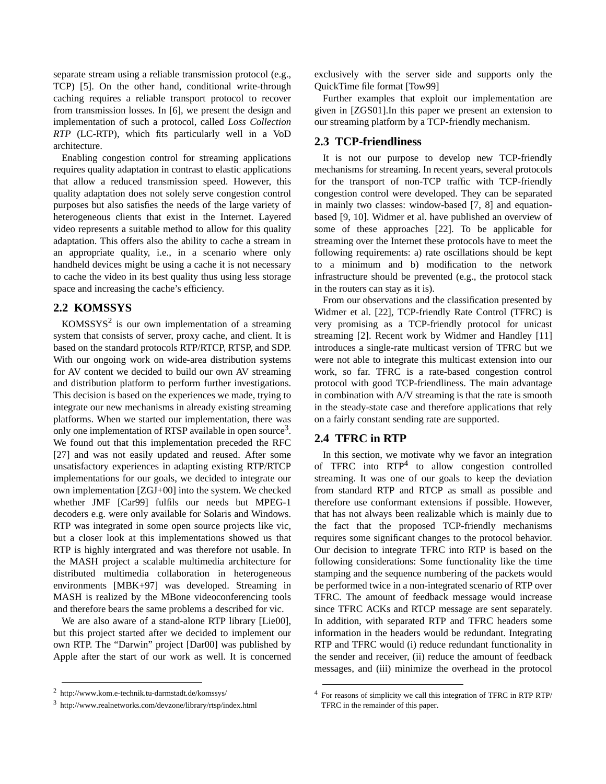<span id="page-1-0"></span>separate stream using a reliable transmission protocol (e.g., TCP) [5]. On the other hand, conditional write-through caching requires a reliable transport protocol to recover from transmission losses. In [6], we present the design and implementation of such a protocol, called *Loss Collection RTP* (LC-RTP), which fits particularly well in a VoD architecture.

Enabling congestion control for streaming applications requires quality adaptation in contrast to elastic applications that allow a reduced transmission speed. However, this quality adaptation does not solely serve congestion control purposes but also satisfies the needs of the large variety of heterogeneous clients that exist in the Internet. Layered video represents a suitable method to allow for this quality adaptation. This offers also the ability to cache a stream in an appropriate quality, i.e., in a scenario where only handheld devices might be using a cache it is not necessary to cache the video in its best quality thus using less storage space and increasing the cache's efficiency.

# **2.2 KOMSSYS**

 $KOMSSYS<sup>2</sup>$  is our own implementation of a streaming system that consists of server, proxy cache, and client. It is based on the standard protocols RTP/RTCP, RTSP, and SDP. With our ongoing work on wide-area distribution systems for AV content we decided to build our own AV streaming and distribution platform to perform further investigations. This decision is based on the experiences we made, trying to integrate our new mechanisms in already existing streaming platforms. When we started our implementation, there was only one implementation of RTSP available in open source<sup>3</sup>. We found out that this implementation preceded the RFC [27] and was not easily updated and reused. After some unsatisfactory experiences in adapting existing RTP/RTCP implementations for our goals, we decided to integrate our own implementation [ZGJ+00] into the system. We checked whether JMF [Car99] fulfils our needs but MPEG-1 decoders e.g. were only available for Solaris and Windows. RTP was integrated in some open source projects like vic, but a closer look at this implementations showed us that RTP is highly intergrated and was therefore not usable. In the MASH project a scalable multimedia architecture for distributed multimedia collaboration in heterogeneous environments [MBK+97] was developed. Streaming in MASH is realized by the MBone videoconferencing tools and therefore bears the same problems a described for vic.

We are also aware of a stand-alone RTP library [Lie00], but this project started after we decided to implement our own RTP. The "Darwin" project [Dar00] was published by Apple after the start of our work as well. It is concerned exclusively with the server side and supports only the QuickTime file format [Tow99]

Further examples that exploit our implementation are given in [ZGS01].In this paper we present an extension to our streaming platform by a TCP-friendly mechanism.

# **2.3 TCP-friendliness**

It is not our purpose to develop new TCP-friendly mechanisms for streaming. In recent years, several protocols for the transport of non-TCP traffic with TCP-friendly congestion control were developed. They can be separated in mainly two classes: window-based [7, 8] and equationbased [9, 10]. Widmer et al. have published an overview of some of these approaches [22]. To be applicable for streaming over the Internet these protocols have to meet the following requirements: a) rate oscillations should be kept to a minimum and b) modification to the network infrastructure should be prevented (e.g., the protocol stack in the routers can stay as it is).

From our observations and the classification presented by Widmer et al. [22], TCP-friendly Rate Control (TFRC) is very promising as a TCP-friendly protocol for unicast streaming [2]. Recent work by Widmer and Handley [11] introduces a single-rate multicast version of TFRC but we were not able to integrate this multicast extension into our work, so far. TFRC is a rate-based congestion control protocol with good TCP-friendliness. The main advantage in combination with A/V streaming is that the rate is smooth in the steady-state case and therefore applications that rely on a fairly constant sending rate are supported.

# **2.4 TFRC in RTP**

In this section, we motivate why we favor an integration of TFRC into  $RTP<sup>4</sup>$  to allow congestion controlled streaming. It was one of our goals to keep the deviation from standard RTP and RTCP as small as possible and therefore use conformant extensions if possible. However, that has not always been realizable which is mainly due to the fact that the proposed TCP-friendly mechanisms requires some significant changes to the protocol behavior. Our decision to integrate TFRC into RTP is based on the following considerations: Some functionality like the time stamping and the sequence numbering of the packets would be performed twice in a non-integrated scenario of RTP over TFRC. The amount of feedback message would increase since TFRC ACKs and RTCP message are sent separately. In addition, with separated RTP and TFRC headers some information in the headers would be redundant. Integrating RTP and TFRC would (i) reduce redundant functionality in the sender and receiver, (ii) reduce the amount of feedback messages, and (iii) minimize the overhead in the protocol

<sup>2</sup> http://www.kom.e-technik.tu-darmstadt.de/komssys/

<sup>3</sup> http://www.realnetworks.com/devzone/library/rtsp/index.html

<sup>4</sup> For reasons of simplicity we call this integration of TFRC in RTP RTP/ TFRC in the remainder of this paper.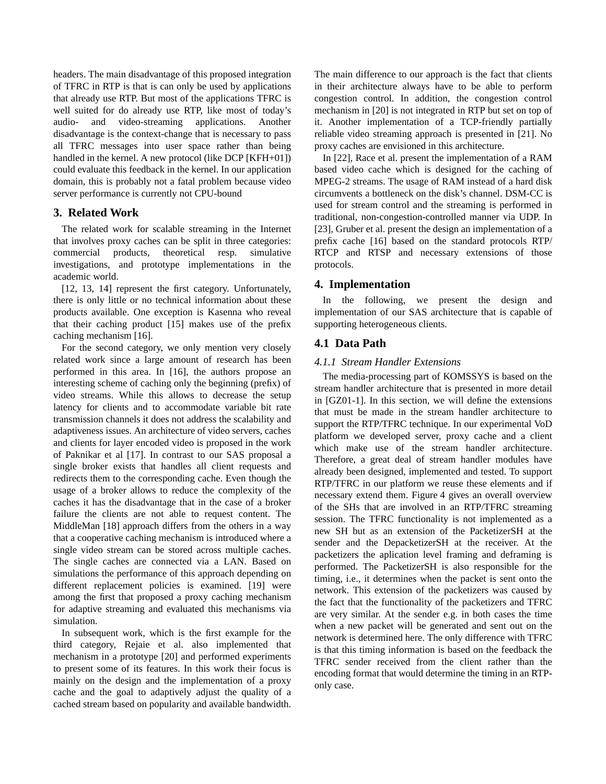headers. The main disadvantage of this proposed integration of TFRC in RTP is that is can only be used by applications that already use RTP. But most of the applications TFRC is well suited for do already use RTP, like most of today's audio- and video-streaming applications. Another disadvantage is the context-change that is necessary to pass all TFRC messages into user space rather than being handled in the kernel. A new protocol (like DCP [KFH+01]) could evaluate this feedback in the kernel. In our application domain, this is probably not a fatal problem because video server performance is currently not CPU-bound

# **3. Related Work**

The related work for scalable streaming in the Internet that involves proxy caches can be split in three categories: commercial products, theoretical resp. simulative investigations, and prototype implementations in the academic world.

[12, 13, 14] represent the first category. Unfortunately, there is only little or no technical information about these products available. One exception is Kasenna who reveal that their caching product [15] makes use of the prefix caching mechanism [16].

For the second category, we only mention very closely related work since a large amount of research has been performed in this area. In [16], the authors propose an interesting scheme of caching only the beginning (prefix) of video streams. While this allows to decrease the setup latency for clients and to accommodate variable bit rate transmission channels it does not address the scalability and adaptiveness issues. An architecture of video servers, caches and clients for layer encoded video is proposed in the work of Paknikar et al [17]. In contrast to our SAS proposal a single broker exists that handles all client requests and redirects them to the corresponding cache. Even though the usage of a broker allows to reduce the complexity of the caches it has the disadvantage that in the case of a broker failure the clients are not able to request content. The MiddleMan [18] approach differs from the others in a way that a cooperative caching mechanism is introduced where a single video stream can be stored across multiple caches. The single caches are connected via a LAN. Based on simulations the performance of this approach depending on different replacement policies is examined. [19] were among the first that proposed a proxy caching mechanism for adaptive streaming and evaluated this mechanisms via simulation.

In subsequent work, which is the first example for the third category, Rejaie et al. also implemented that mechanism in a prototype [20] and performed experiments to present some of its features. In this work their focus is mainly on the design and the implementation of a proxy cache and the goal to adaptively adjust the quality of a cached stream based on popularity and available bandwidth.

The main difference to our approach is the fact that clients in their architecture always have to be able to perform congestion control. In addition, the congestion control mechanism in [20] is not integrated in RTP but set on top of it. Another implementation of a TCP-friendly partially reliable video streaming approach is presented in [21]. No proxy caches are envisioned in this architecture.

In [22], Race et al. present the implementation of a RAM based video cache which is designed for the caching of MPEG-2 streams. The usage of RAM instead of a hard disk circumvents a bottleneck on the disk's channel. DSM-CC is used for stream control and the streaming is performed in traditional, non-congestion-controlled manner via UDP. In [23], Gruber et al. present the design an implementation of a prefix cache [16] based on the standard protocols RTP/ RTCP and RTSP and necessary extensions of those protocols.

# **4. Implementation**

In the following, we present the design and implementation of our SAS architecture that is capable of supporting heterogeneous clients.

# **4.1 Data Path**

# *4.1.1 Stream Handler Extensions*

The media-processing part of KOMSSYS is based on the stream handler architecture that is presented in more detail in [GZ01-1]. In this section, we will define the extensions that must be made in the stream handler architecture to support the RTP/TFRC technique. In our experimental VoD platform we developed server, proxy cache and a client which make use of the stream handler architecture. Therefore, a great deal of stream handler modules have already been designed, implemented and tested. To support RTP/TFRC in our platform we reuse these elements and if necessary extend them. [Figure 4](#page-3-0) gives an overall overview of the SHs that are involved in an RTP/TFRC streaming session. The TFRC functionality is not implemented as a new SH but as an extension of the PacketizerSH at the sender and the DepacketizerSH at the receiver. At the packetizers the aplication level framing and deframing is performed. The PacketizerSH is also responsible for the timing, i.e., it determines when the packet is sent onto the network. This extension of the packetizers was caused by the fact that the functionality of the packetizers and TFRC are very similar. At the sender e.g. in both cases the time when a new packet will be generated and sent out on the network is determined here. The only difference with TFRC is that this timing information is based on the feedback the TFRC sender received from the client rather than the encoding format that would determine the timing in an RTPonly case.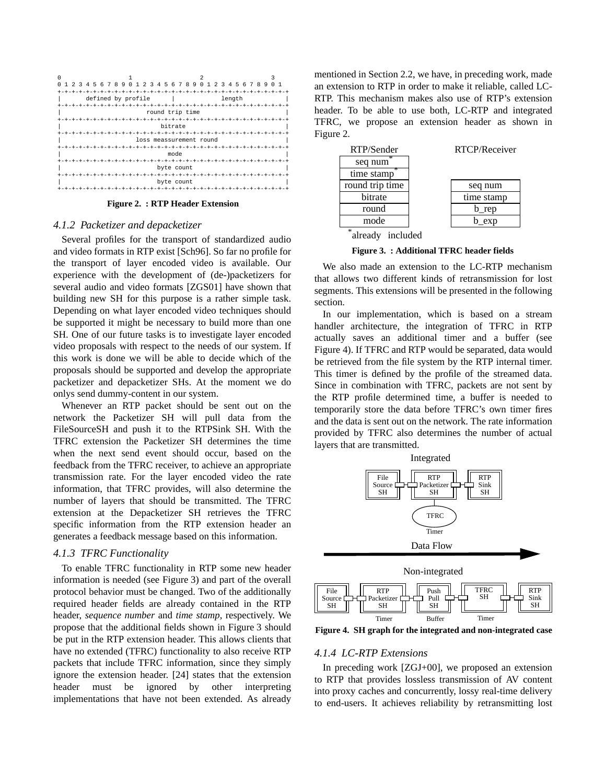<span id="page-3-0"></span>

**Figure 2. : RTP Header Extension**

#### *4.1.2 Packetizer and depacketizer*

Several profiles for the transport of standardized audio and video formats in RTP exist [Sch96]. So far no profile for the transport of layer encoded video is available. Our experience with the development of (de-)packetizers for several audio and video formats [ZGS01] have shown that building new SH for this purpose is a rather simple task. Depending on what layer encoded video techniques should be supported it might be necessary to build more than one SH. One of our future tasks is to investigate layer encoded video proposals with respect to the needs of our system. If this work is done we will be able to decide which of the proposals should be supported and develop the appropriate packetizer and depacketizer SHs. At the moment we do onlys send dummy-content in our system.

Whenever an RTP packet should be sent out on the network the Packetizer SH will pull data from the FileSourceSH and push it to the RTPSink SH. With the TFRC extension the Packetizer SH determines the time when the next send event should occur, based on the feedback from the TFRC receiver, to achieve an appropriate transmission rate. For the layer encoded video the rate information, that TFRC provides, will also determine the number of layers that should be transmitted. The TFRC extension at the Depacketizer SH retrieves the TFRC specific information from the RTP extension header an generates a feedback message based on this information.

### *4.1.3 TFRC Functionality*

To enable TFRC functionality in RTP some new header information is needed (see Figure 3) and part of the overall protocol behavior must be changed. Two of the additionally required header fields are already contained in the RTP header, *sequence number* and *time stamp,* respectively. We propose that the additional fields shown in Figure 3 should be put in the RTP extension header. This allows clients that have no extended (TFRC) functionality to also receive RTP packets that include TFRC information, since they simply ignore the extension header. [24] states that the extension header must be ignored by other interpreting implementations that have not been extended. As already

mentioned in [Section 2.2](#page-1-0), we have, in preceding work, made an extension to RTP in order to make it reliable, called LC-RTP. This mechanism makes also use of RTP's extension header. To be able to use both, LC-RTP and integrated TFRC, we propose an extension header as shown in Figure 2.



**Figure 3. : Additional TFRC header fields**

We also made an extension to the LC-RTP mechanism that allows two different kinds of retransmission for lost segments. This extensions will be presented in the following section.

In our implementation, which is based on a stream handler architecture, the integration of TFRC in RTP actually saves an additional timer and a buffer (see Figure 4). If TFRC and RTP would be separated, data would be retrieved from the file system by the RTP internal timer. This timer is defined by the profile of the streamed data. Since in combination with TFRC, packets are not sent by the RTP profile determined time, a buffer is needed to temporarily store the data before TFRC's own timer fires and the data is sent out on the network. The rate information provided by TFRC also determines the number of actual layers that are transmitted.



Timer Buffer Timer **Figure 4. SH graph for the integrated and non-integrated case**

# *4.1.4 LC-RTP Extensions*

In preceding work [ZGJ+00], we proposed an extension to RTP that provides lossless transmission of AV content into proxy caches and concurrently, lossy real-time delivery to end-users. It achieves reliability by retransmitting lost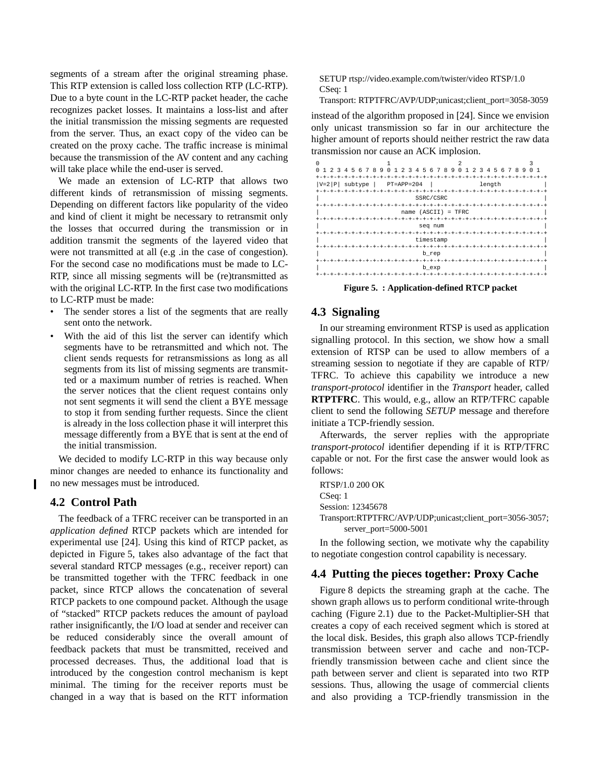<span id="page-4-0"></span>segments of a stream after the original streaming phase. This RTP extension is called loss collection RTP (LC-RTP). Due to a byte count in the LC-RTP packet header, the cache recognizes packet losses. It maintains a loss-list and after the initial transmission the missing segments are requested from the server. Thus, an exact copy of the video can be created on the proxy cache. The traffic increase is minimal because the transmission of the AV content and any caching will take place while the end-user is served.

We made an extension of LC-RTP that allows two different kinds of retransmission of missing segments. Depending on different factors like popularity of the video and kind of client it might be necessary to retransmit only the losses that occurred during the transmission or in addition transmit the segments of the layered video that were not transmitted at all (e.g .in the case of congestion). For the second case no modifications must be made to LC-RTP, since all missing segments will be (re)transmitted as with the original LC-RTP. In the first case two modifications to LC-RTP must be made:

- The sender stores a list of the segments that are really sent onto the network.
- With the aid of this list the server can identify which segments have to be retransmitted and which not. The client sends requests for retransmissions as long as all segments from its list of missing segments are transmitted or a maximum number of retries is reached. When the server notices that the client request contains only not sent segments it will send the client a BYE message to stop it from sending further requests. Since the client is already in the loss collection phase it will interpret this message differently from a BYE that is sent at the end of the initial transmission.

We decided to modify LC-RTP in this way because only minor changes are needed to enhance its functionality and no new messages must be introduced.

## **4.2 Control Path**

The feedback of a TFRC receiver can be transported in an *application defined* RTCP packets which are intended for experimental use [24]. Using this kind of RTCP packet, as depicted in Figure 5, takes also advantage of the fact that several standard RTCP messages (e.g., receiver report) can be transmitted together with the TFRC feedback in one packet, since RTCP allows the concatenation of several RTCP packets to one compound packet. Although the usage of "stacked" RTCP packets reduces the amount of payload rather insignificantly, the I/O load at sender and receiver can be reduced considerably since the overall amount of feedback packets that must be transmitted, received and processed decreases. Thus, the additional load that is introduced by the congestion control mechanism is kept minimal. The timing for the receiver reports must be changed in a way that is based on the RTT information

SETUP rtsp://video.example.com/twister/video RTSP/1.0 CSeq: 1

Transport: RTPTFRC/AVP/UDP;unicast;client\_port=3058-3059

instead of the algorithm proposed in [24]. Since we envision only unicast transmission so far in our architecture the higher amount of reports should neither restrict the raw data transmission nor cause an ACK implosion.

| 5 6 7 8 9<br>$\Omega$<br>0<br>3<br>$\mathcal{L}$<br>4 | 5<br>678<br>9<br>$\mathbf{1}$<br>3<br>2<br>4 | 0 <sub>1</sub><br>2<br>3<br>5<br>4 | 6 7 8<br>$\mathbf{1}$<br>9<br><sup>0</sup> |
|-------------------------------------------------------|----------------------------------------------|------------------------------------|--------------------------------------------|
| $+ - +$                                               |                                              |                                    |                                            |
| $ V=2 P $<br>subtype                                  | $PT=APP=204$                                 | length                             |                                            |
| $-+ - + - + - + - + -$<br>+-+-+-+-+-+-+               |                                              |                                    |                                            |
| SSRC/CSRC                                             |                                              |                                    |                                            |
|                                                       | $+ - + - + -$                                |                                    |                                            |
| $name (ASCII) = TFRC$                                 |                                              |                                    |                                            |
|                                                       |                                              |                                    |                                            |
| seq num                                               |                                              |                                    |                                            |
| $-+ - + - + -$                                        |                                              |                                    |                                            |
| timestamp                                             |                                              |                                    |                                            |
| $-+ - + - +$                                          |                                              |                                    |                                            |
| b_rep                                                 |                                              |                                    |                                            |
| $+ - + - + -$                                         |                                              |                                    |                                            |
| b_exp                                                 |                                              |                                    |                                            |
|                                                       |                                              |                                    |                                            |

**Figure 5. : Application-defined RTCP packet**

### **4.3 Signaling**

In our streaming environment RTSP is used as application signalling protocol. In this section, we show how a small extension of RTSP can be used to allow members of a streaming session to negotiate if they are capable of RTP/ TFRC. To achieve this capability we introduce a new *transport-protocol* identifier in the *Transport* header, called **RTPTFRC**. This would, e.g., allow an RTP/TFRC capable client to send the following *SETUP* message and therefore initiate a TCP-friendly session.

Afterwards, the server replies with the appropriate *transport-protocol* identifier depending if it is RTP/TFRC capable or not. For the first case the answer would look as follows:

RTSP/1.0 200 OK CSeq: 1 Session: 12345678 Transport:RTPTFRC/AVP/UDP;unicast;client\_port=3056-3057; server\_port=5000-5001

In the following section, we motivate why the capability to negotiate congestion control capability is necessary.

### **4.4 Putting the pieces together: Proxy Cache**

[Figure 8](#page-5-0) depicts the streaming graph at the cache. The shown graph allows us to perform conditional write-through caching [\(Figure 2.1](#page-0-0)) due to the Packet-Multiplier-SH that creates a copy of each received segment which is stored at the local disk. Besides, this graph also allows TCP-friendly transmission between server and cache and non-TCPfriendly transmission between cache and client since the path between server and client is separated into two RTP sessions. Thus, allowing the usage of commercial clients and also providing a TCP-friendly transmission in the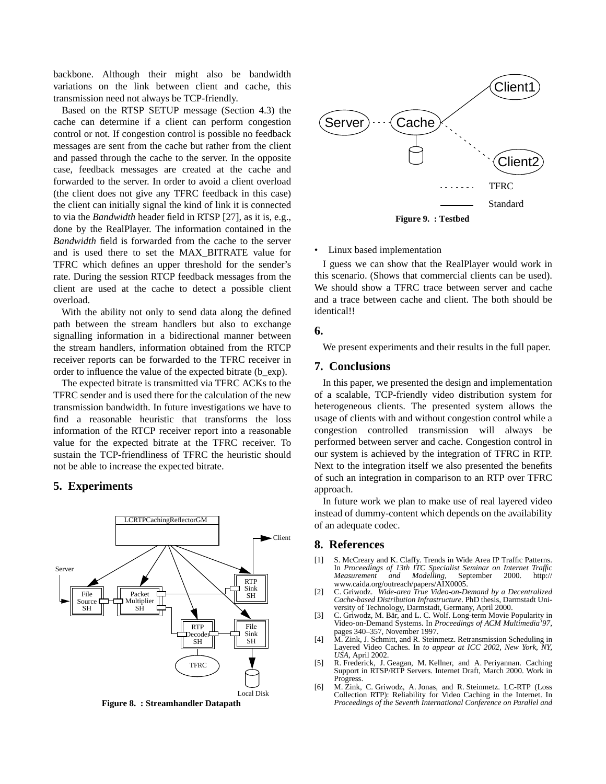<span id="page-5-0"></span>backbone. Although their might also be bandwidth variations on the link between client and cache, this transmission need not always be TCP-friendly.

Based on the RTSP SETUP message [\(Section 4.3](#page-4-0)) the cache can determine if a client can perform congestion control or not. If congestion control is possible no feedback messages are sent from the cache but rather from the client and passed through the cache to the server. In the opposite case, feedback messages are created at the cache and forwarded to the server. In order to avoid a client overload (the client does not give any TFRC feedback in this case) the client can initially signal the kind of link it is connected to via the *Bandwidth* header field in RTSP [27], as it is, e.g., done by the RealPlayer. The information contained in the *Bandwidth* field is forwarded from the cache to the server and is used there to set the MAX\_BITRATE value for TFRC which defines an upper threshold for the sender's rate. During the session RTCP feedback messages from the client are used at the cache to detect a possible client overload.

With the ability not only to send data along the defined path between the stream handlers but also to exchange signalling information in a bidirectional manner between the stream handlers, information obtained from the RTCP receiver reports can be forwarded to the TFRC receiver in order to influence the value of the expected bitrate (b\_exp).

The expected bitrate is transmitted via TFRC ACKs to the TFRC sender and is used there for the calculation of the new transmission bandwidth. In future investigations we have to find a reasonable heuristic that transforms the loss information of the RTCP receiver report into a reasonable value for the expected bitrate at the TFRC receiver. To sustain the TCP-friendliness of TFRC the heuristic should not be able to increase the expected bitrate.

# **5. Experiments**



**Figure 8. : Streamhandler Datapath**



• Linux based implementation

I guess we can show that the RealPlayer would work in this scenario. (Shows that commercial clients can be used). We should show a TFRC trace between server and cache and a trace between cache and client. The both should be identical!!

### **6.**

We present experiments and their results in the full paper.

# **7. Conclusions**

In this paper, we presented the design and implementation of a scalable, TCP-friendly video distribution system for heterogeneous clients. The presented system allows the usage of clients with and without congestion control while a congestion controlled transmission will always be performed between server and cache. Congestion control in our system is achieved by the integration of TFRC in RTP. Next to the integration itself we also presented the benefits of such an integration in comparison to an RTP over TFRC approach.

In future work we plan to make use of real layered video instead of dummy-content which depends on the availability of an adequate codec.

### **8. References**

- [1] S. McCreary and K. Claffy. Trends in Wide Area IP Traffic Patterns. In *Proceedings of 13th ITC Specialist Seminar on Internet Traffic*  $Modeiling,$ www.caida.org/outreach/papers/AIX0005.
- [2] C. Griwodz. *Wide-area True Video-on-Demand by a Decentralized Cache-based Distribution Infrastructure*. PhD thesis, Darmstadt University of Technology, Darmstadt, Germany, April 2000.
- [3] C. Griwodz, M. Bär, and L. C. Wolf. Long-term Movie Popularity in Video-on-Demand Systems. In *Proceedings of ACM Multimedia'97*, pages 340–357, November 1997.
- [4] M. Zink, J. Schmitt, and R. Steinmetz. Retransmission Scheduling in Layered Video Caches. In *to appear at ICC 2002, New York, NY, USA*, April 2002.
- [5] R. Frederick, J. Geagan, M. Kellner, and A. Periyannan. Caching Support in RTSP/RTP Servers. Internet Draft, March 2000. Work in Progress.
- [6] M. Zink, C. Griwodz, A. Jonas, and R. Steinmetz. LC-RTP (Loss Collection RTP): Reliability for Video Caching in the Internet. In *Proceedings of the Seventh International Conference on Parallel and*